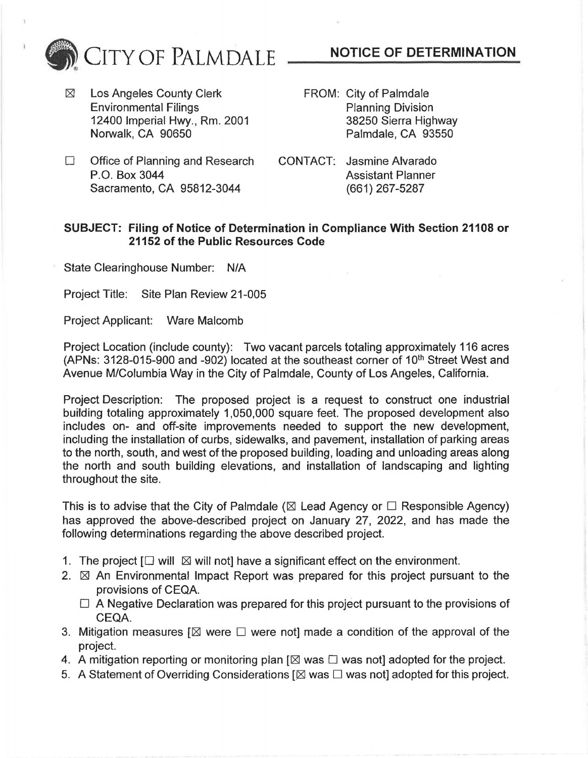- FROM: City of Palmdale Planning Division 38250 Sierra Highway Palmdale, CA 93550
- $\Box$  Office of Planning and Research P.O. Box 3044 Sacramento, CA 95812-3044
- CONTACT: Jasmine Alvarado Assistant Planner (661) 267-5287

## **SUBJECT: Filing of Notice of Determination in Compliance With Section 21108 or 21152 of the Public Resources Code**

State Clearinghouse Number: N/A

Project Title: Site Plan Review 21-005

Project Applicant: Ware Malcomb

Project Location (include county): Two vacant parcels totaling approximately 116 acres (APNs: 3128-015-900 and -902) located at the southeast corner of 10<sup>th</sup> Street West and Avenue M/Columbia Way in the City of Palmdale, County of Los Angeles, California.

Project Description: The proposed project is a request to construct one industrial building totaling approximately 1,050,000 square feet. The proposed development also includes on- and off-site improvements needed to support the new development, including the installation of curbs, sidewalks, and pavement, installation of parking areas to the north, south, and west of the proposed building, loading and unloading areas along the north and south building elevations, and installation of landscaping and lighting throughout the site.

This is to advise that the City of Palmdale ( $\boxtimes$  Lead Agency or  $\Box$  Responsible Agency) has approved the above-described project on January 27, 2022, and has made the following determinations regarding the above described project.

- 1. The project  $\Box$  will  $\boxtimes$  will not] have a significant effect on the environment.
- 2.  $\boxtimes$  An Environmental Impact Report was prepared for this project pursuant to the provisions of CEQA.
	- $\Box$  A Negative Declaration was prepared for this project pursuant to the provisions of CEQA.
- 3. Mitigation measures  $[\boxtimes]$  were  $\square$  were not] made a condition of the approval of the project.
- 4. A mitigation reporting or monitoring plan [ $\boxtimes$  was  $\square$  was not] adopted for the project.
- 5. A Statement of Overriding Considerations  $[\boxtimes$  was  $\square$  was not] adopted for this project.